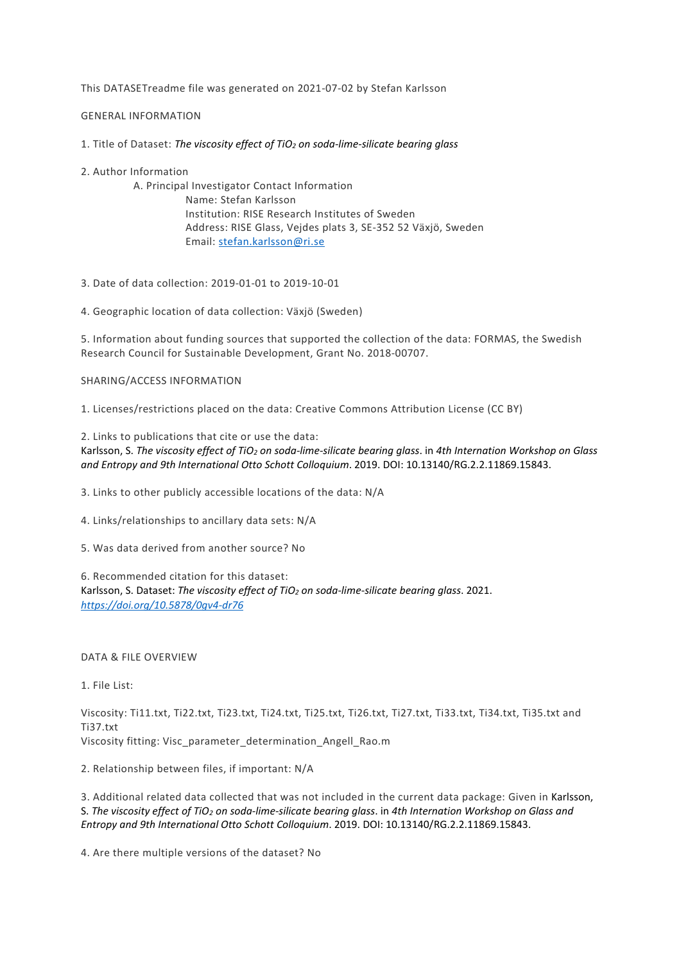This DATASETreadme file was generated on 2021-07-02 by Stefan Karlsson

GENERAL INFORMATION

1. Title of Dataset: *The viscosity effect of TiO2 on soda-lime-silicate bearing glass*

2. Author Information

A. Principal Investigator Contact Information Name: Stefan Karlsson Institution: RISE Research Institutes of Sweden Address: RISE Glass, Vejdes plats 3, SE-352 52 Växjö, Sweden Email: [stefan.karlsson@ri.se](mailto:stefan.karlsson@ri.se)

3. Date of data collection: 2019-01-01 to 2019-10-01

4. Geographic location of data collection: Växjö (Sweden)

5. Information about funding sources that supported the collection of the data: FORMAS, the Swedish Research Council for Sustainable Development, Grant No. 2018-00707.

## SHARING/ACCESS INFORMATION

1. Licenses/restrictions placed on the data: Creative Commons Attribution License (CC BY)

2. Links to publications that cite or use the data:

Karlsson, S. *The viscosity effect of TiO2 on soda-lime-silicate bearing glass*. in *4th Internation Workshop on Glass and Entropy and 9th International Otto Schott Colloquium*. 2019. DOI: 10.13140/RG.2.2.11869.15843.

3. Links to other publicly accessible locations of the data: N/A

4. Links/relationships to ancillary data sets: N/A

5. Was data derived from another source? No

6. Recommended citation for this dataset:

Karlsson, S. Dataset: *The viscosity effect of TiO2 on soda-lime-silicate bearing glass*. 2021. *<https://doi.org/10.5878/0gv4-dr76>*

DATA & FILE OVERVIEW

1. File List:

Viscosity: Ti11.txt, Ti22.txt, Ti23.txt, Ti24.txt, Ti25.txt, Ti26.txt, Ti27.txt, Ti33.txt, Ti34.txt, Ti35.txt and Ti37.txt Viscosity fitting: Visc\_parameter\_determination\_Angell\_Rao.m

2. Relationship between files, if important: N/A

3. Additional related data collected that was not included in the current data package: Given in Karlsson, S. *The viscosity effect of TiO2 on soda-lime-silicate bearing glass*. in *4th Internation Workshop on Glass and Entropy and 9th International Otto Schott Colloquium*. 2019. DOI: 10.13140/RG.2.2.11869.15843.

4. Are there multiple versions of the dataset? No